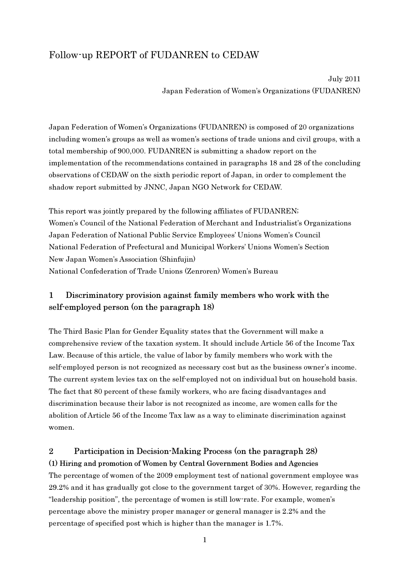# Follow-up REPORT of FUDANREN to CEDAW

July 2011 Japan Federation of Women's Organizations (FUDANREN)

Japan Federation of Women's Organizations (FUDANREN) is composed of 20 organizations including women's groups as well as women's sections of trade unions and civil groups, with a total membership of 900,000. FUDANREN is submitting a shadow report on the implementation of the recommendations contained in paragraphs 18 and 28 of the concluding observations of CEDAW on the sixth periodic report of Japan, in order to complement the shadow report submitted by JNNC, Japan NGO Network for CEDAW.

This report was jointly prepared by the following affiliates of FUDANREN; Women's Council of the National Federation of Merchant and Industrialist's Organizations Japan Federation of National Public Service Employees' Unions Women's Council National Federation of Prefectural and Municipal Workers' Unions Women's Section New Japan Women's Association (Shinfujin) National Confederation of Trade Unions (Zenroren) Women's Bureau

## 1 Discriminatory provision against family members who work with the self-employed person (on the paragraph 18)

The Third Basic Plan for Gender Equality states that the Government will make a comprehensive review of the taxation system. It should include Article 56 of the Income Tax Law. Because of this article, the value of labor by family members who work with the self-employed person is not recognized as necessary cost but as the business owner's income. The current system levies tax on the self-employed not on individual but on household basis. The fact that 80 percent of these family workers, who are facing disadvantages and discrimination because their labor is not recognized as income, are women calls for the abolition of Article 56 of the Income Tax law as a way to eliminate discrimination against women.

## 2 Participation in Decision-Making Process (on the paragraph 28) (1) Hiring and promotion of Women by Central Government Bodies and Agencies

The percentage of women of the 2009 employment test of national government employee was 29.2% and it has gradually got close to the government target of 30%. However, regarding the "leadership position", the percentage of women is still low-rate. For example, women's percentage above the ministry proper manager or general manager is 2.2% and the percentage of specified post which is higher than the manager is 1.7%.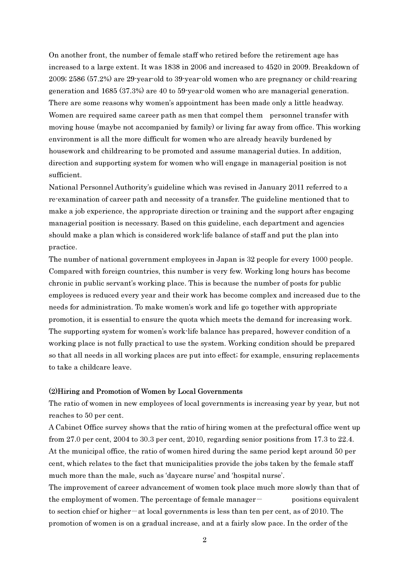On another front, the number of female staff who retired before the retirement age has increased to a large extent. It was 1838 in 2006 and increased to 4520 in 2009. Breakdown of 2009; 2586 (57.2%) are 29-year-old to 39-year-old women who are pregnancy or child-rearing generation and 1685 (37.3%) are 40 to 59-year-old women who are managerial generation. There are some reasons why women's appointment has been made only a little headway. Women are required same career path as men that compel them personnel transfer with moving house (maybe not accompanied by family) or living far away from office. This working environment is all the more difficult for women who are already heavily burdened by housework and childrearing to be promoted and assume managerial duties. In addition, direction and supporting system for women who will engage in managerial position is not sufficient.

National Personnel Authority's guideline which was revised in January 2011 referred to a re-examination of career path and necessity of a transfer. The guideline mentioned that to make a job experience, the appropriate direction or training and the support after engaging managerial position is necessary. Based on this guideline, each department and agencies should make a plan which is considered work-life balance of staff and put the plan into practice.

The number of national government employees in Japan is 32 people for every 1000 people. Compared with foreign countries, this number is very few. Working long hours has become chronic in public servant's working place. This is because the number of posts for public employees is reduced every year and their work has become complex and increased due to the needs for administration. To make women's work and life go together with appropriate promotion, it is essential to ensure the quota which meets the demand for increasing work. The supporting system for women's work-life balance has prepared, however condition of a working place is not fully practical to use the system. Working condition should be prepared so that all needs in all working places are put into effect; for example, ensuring replacements to take a childcare leave.

#### (2)Hiring and Promotion of Women by Local Governments

The ratio of women in new employees of local governments is increasing year by year, but not reaches to 50 per cent.

A Cabinet Office survey shows that the ratio of hiring women at the prefectural office went up from 27.0 per cent, 2004 to 30.3 per cent, 2010, regarding senior positions from 17.3 to 22.4. At the municipal office, the ratio of women hired during the same period kept around 50 per cent, which relates to the fact that municipalities provide the jobs taken by the female staff much more than the male, such as 'daycare nurse' and 'hospital nurse'.

The improvement of career advancement of women took place much more slowly than that of the employment of women. The percentage of female manager $-$  positions equivalent to section chief or higher-at local governments is less than ten per cent, as of 2010. The promotion of women is on a gradual increase, and at a fairly slow pace. In the order of the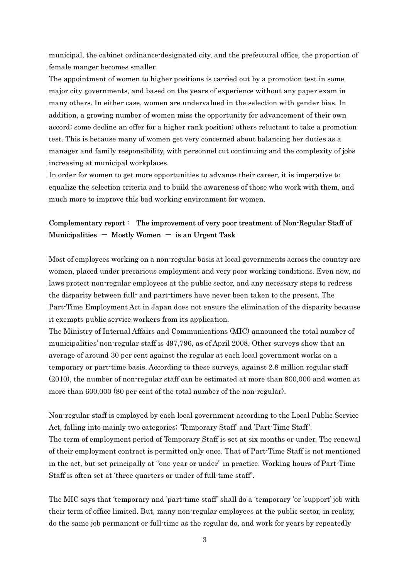municipal, the cabinet ordinance-designated city, and the prefectural office, the proportion of female manger becomes smaller.

The appointment of women to higher positions is carried out by a promotion test in some major city governments, and based on the years of experience without any paper exam in many others. In either case, women are undervalued in the selection with gender bias. In addition, a growing number of women miss the opportunity for advancement of their own accord; some decline an offer for a higher rank position; others reluctant to take a promotion test. This is because many of women get very concerned about balancing her duties as a manager and family responsibility, with personnel cut continuing and the complexity of jobs increasing at municipal workplaces.

In order for women to get more opportunities to advance their career, it is imperative to equalize the selection criteria and to build the awareness of those who work with them, and much more to improve this bad working environment for women.

### Complementary report : The improvement of very poor treatment of Non-Regular Staff of Municipalities  $-$  Mostly Women  $-$  is an Urgent Task

Most of employees working on a non-regular basis at local governments across the country are women, placed under precarious employment and very poor working conditions. Even now, no laws protect non-regular employees at the public sector, and any necessary steps to redress the disparity between full- and part-timers have never been taken to the present. The Part-Time Employment Act in Japan does not ensure the elimination of the disparity because it exempts public service workers from its application.

The Ministry of Internal Affairs and Communications (MIC) announced the total number of municipalities' non-regular staff is 497,796, as of April 2008. Other surveys show that an average of around 30 per cent against the regular at each local government works on a temporary or part-time basis. According to these surveys, against 2.8 million regular staff (2010), the number of non-regular staff can be estimated at more than 800,000 and women at more than 600,000 (80 per cent of the total number of the non-regular).

Non-regular staff is employed by each local government according to the Local Public Service Act, falling into mainly two categories; 'Temporary Staff' and 'Part-Time Staff'. The term of employment period of Temporary Staff is set at six months or under. The renewal of their employment contract is permitted only once. That of Part-Time Staff is not mentioned in the act, but set principally at "one year or under" in practice. Working hours of Part-Time Staff is often set at 'three quarters or under of full-time staff'.

The MIC says that 'temporary and 'part-time staff' shall do a 'temporary 'or 'support' job with their term of office limited. But, many non-regular employees at the public sector, in reality, do the same job permanent or full-time as the regular do, and work for years by repeatedly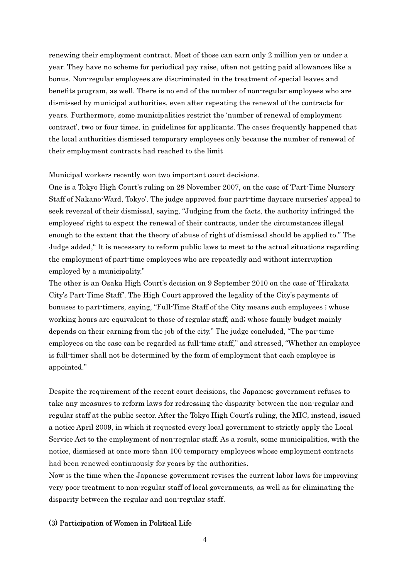renewing their employment contract. Most of those can earn only 2 million yen or under a year. They have no scheme for periodical pay raise, often not getting paid allowances like a bonus. Non-regular employees are discriminated in the treatment of special leaves and benefits program, as well. There is no end of the number of non-regular employees who are dismissed by municipal authorities, even after repeating the renewal of the contracts for years. Furthermore, some municipalities restrict the 'number of renewal of employment contract', two or four times, in guidelines for applicants. The cases frequently happened that the local authorities dismissed temporary employees only because the number of renewal of their employment contracts had reached to the limit

### Municipal workers recently won two important court decisions.

One is a Tokyo High Court's ruling on 28 November 2007, on the case of 'Part-Time Nursery Staff of Nakano-Ward, Tokyo'. The judge approved four part-time daycare nurseries' appeal to seek reversal of their dismissal, saying, "Judging from the facts, the authority infringed the employees' right to expect the renewal of their contracts, under the circumstances illegal enough to the extent that the theory of abuse of right of dismissal should be applied to." The Judge added," It is necessary to reform public laws to meet to the actual situations regarding the employment of part-time employees who are repeatedly and without interruption employed by a municipality."

The other is an Osaka High Court's decision on 9 September 2010 on the case of 'Hirakata City's Part-Time Staff'. The High Court approved the legality of the City's payments of bonuses to part-timers, saying, "Full-Time Staff of the City means such employees ; whose working hours are equivalent to those of regular staff, and; whose family budget mainly depends on their earning from the job of the city." The judge concluded, "The par-time employees on the case can be regarded as full-time staff," and stressed, "Whether an employee is full-timer shall not be determined by the form of employment that each employee is appointed."

Despite the requirement of the recent court decisions, the Japanese government refuses to take any measures to reform laws for redressing the disparity between the non-regular and regular staff at the public sector. After the Tokyo High Court's ruling, the MIC, instead, issued a notice April 2009, in which it requested every local government to strictly apply the Local Service Act to the employment of non-regular staff. As a result, some municipalities, with the notice, dismissed at once more than 100 temporary employees whose employment contracts had been renewed continuously for years by the authorities.

Now is the time when the Japanese government revises the current labor laws for improving very poor treatment to non-regular staff of local governments, as well as for eliminating the disparity between the regular and non-regular staff.

#### (3) Participation of Women in Political Life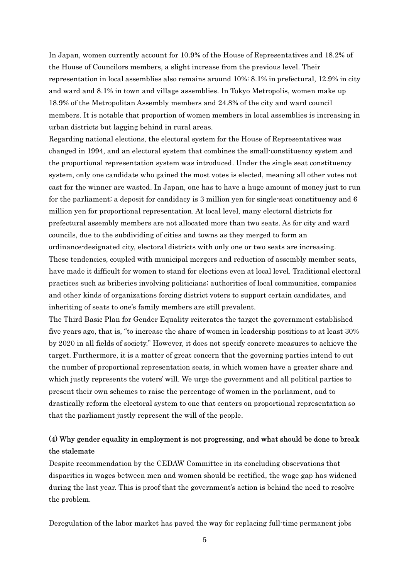In Japan, women currently account for 10.9% of the House of Representatives and 18.2% of the House of Councilors members, a slight increase from the previous level. Their representation in local assemblies also remains around 10%: 8.1% in prefectural, 12.9% in city and ward and 8.1% in town and village assemblies. In Tokyo Metropolis, women make up 18.9% of the Metropolitan Assembly members and 24.8% of the city and ward council members. It is notable that proportion of women members in local assemblies is increasing in urban districts but lagging behind in rural areas.

Regarding national elections, the electoral system for the House of Representatives was changed in 1994, and an electoral system that combines the small-constituency system and the proportional representation system was introduced. Under the single seat constituency system, only one candidate who gained the most votes is elected, meaning all other votes not cast for the winner are wasted. In Japan, one has to have a huge amount of money just to run for the parliament; a deposit for candidacy is 3 million yen for single-seat constituency and 6 million yen for proportional representation. At local level, many electoral districts for prefectural assembly members are not allocated more than two seats. As for city and ward councils, due to the subdividing of cities and towns as they merged to form an ordinance-designated city, electoral districts with only one or two seats are increasing. These tendencies, coupled with municipal mergers and reduction of assembly member seats, have made it difficult for women to stand for elections even at local level. Traditional electoral practices such as briberies involving politicians; authorities of local communities, companies and other kinds of organizations forcing district voters to support certain candidates, and inheriting of seats to one's family members are still prevalent.

The Third Basic Plan for Gender Equality reiterates the target the government established five years ago, that is, "to increase the share of women in leadership positions to at least 30% by 2020 in all fields of society." However, it does not specify concrete measures to achieve the target. Furthermore, it is a matter of great concern that the governing parties intend to cut the number of proportional representation seats, in which women have a greater share and which justly represents the voters' will. We urge the government and all political parties to present their own schemes to raise the percentage of women in the parliament, and to drastically reform the electoral system to one that centers on proportional representation so that the parliament justly represent the will of the people.

## (4) Why gender equality in employment is not progressing, and what should be done to break the stalemate

Despite recommendation by the CEDAW Committee in its concluding observations that disparities in wages between men and women should be rectified, the wage gap has widened during the last year. This is proof that the government's action is behind the need to resolve the problem.

Deregulation of the labor market has paved the way for replacing full-time permanent jobs

5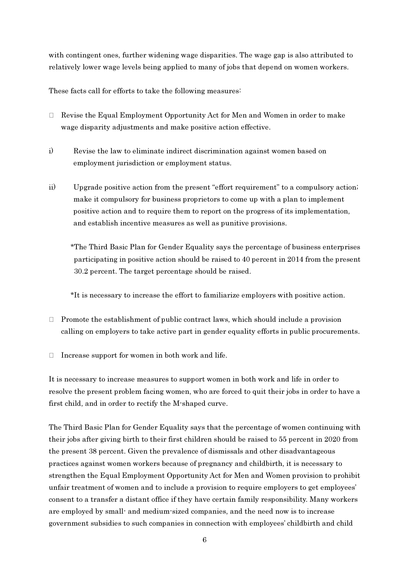with contingent ones, further widening wage disparities. The wage gap is also attributed to relatively lower wage levels being applied to many of jobs that depend on women workers.

These facts call for efforts to take the following measures:

Revise the Equal Employment Opportunity Act for Men and Women in order to make wage disparity adjustments and make positive action effective.

- i) Revise the law to eliminate indirect discrimination against women based on employment jurisdiction or employment status.
- ii) Upgrade positive action from the present "effort requirement" to a compulsory action; make it compulsory for business proprietors to come up with a plan to implement positive action and to require them to report on the progress of its implementation, and establish incentive measures as well as punitive provisions.

\*The Third Basic Plan for Gender Equality says the percentage of business enterprises participating in positive action should be raised to 40 percent in 2014 from the present 30.2 percent. The target percentage should be raised.

\*It is necessary to increase the effort to familiarize employers with positive action.

Promote the establishment of public contract laws, which should include a provision calling on employers to take active part in gender equality efforts in public procurements.

Increase support for women in both work and life.

It is necessary to increase measures to support women in both work and life in order to resolve the present problem facing women, who are forced to quit their jobs in order to have a first child, and in order to rectify the M-shaped curve.

The Third Basic Plan for Gender Equality says that the percentage of women continuing with their jobs after giving birth to their first children should be raised to 55 percent in 2020 from the present 38 percent. Given the prevalence of dismissals and other disadvantageous practices against women workers because of pregnancy and childbirth, it is necessary to strengthen the Equal Employment Opportunity Act for Men and Women provision to prohibit unfair treatment of women and to include a provision to require employers to get employees' consent to a transfer a distant office if they have certain family responsibility. Many workers are employed by small- and medium-sized companies, and the need now is to increase government subsidies to such companies in connection with employees' childbirth and child